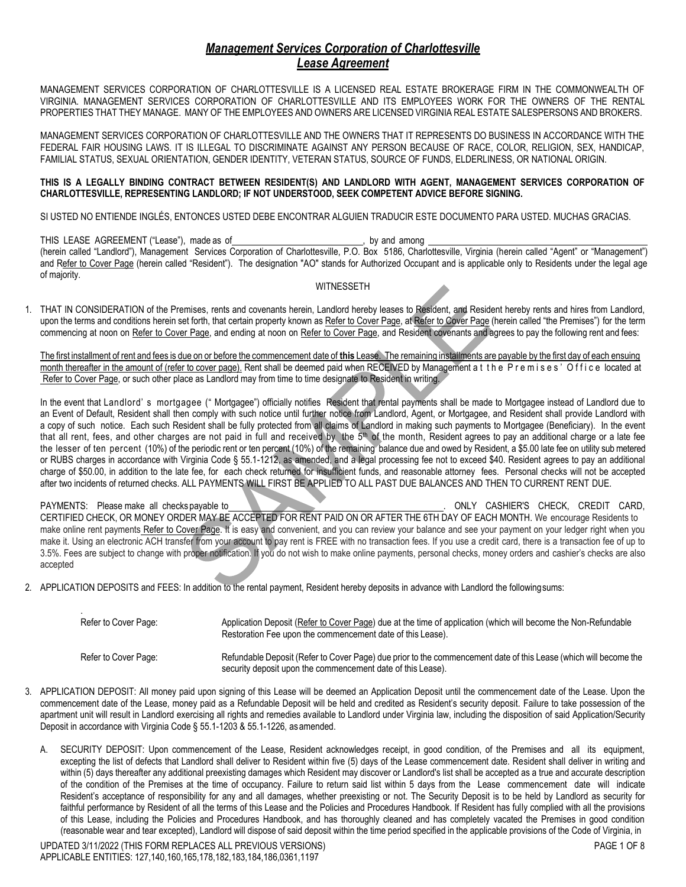## *Management Services Corporation of Charlottesville Lease Agreement*

MANAGEMENT SERVICES CORPORATION OF CHARLOTTESVILLE IS A LICENSED REAL ESTATE BROKERAGE FIRM IN THE COMMONWEALTH OF VIRGINIA. MANAGEMENT SERVICES CORPORATION OF CHARLOTTESVILLE AND ITS EMPLOYEES WORK FOR THE OWNERS OF THE RENTAL PROPERTIES THAT THEY MANAGE. MANY OF THE EMPLOYEES AND OWNERS ARE LICENSED VIRGINIA REAL ESTATE SALESPERSONS AND BROKERS.

MANAGEMENT SERVICES CORPORATION OF CHARLOTTESVILLE AND THE OWNERS THAT IT REPRESENTS DO BUSINESS IN ACCORDANCE WITH THE FEDERAL FAIR HOUSING LAWS. IT IS ILLEGAL TO DISCRIMINATE AGAINST ANY PERSON BECAUSE OF RACE, COLOR, RELIGION, SEX, HANDICAP, FAMILIAL STATUS, SEXUAL ORIENTATION, GENDER IDENTITY, VETERAN STATUS, SOURCE OF FUNDS, ELDERLINESS, OR NATIONAL ORIGIN.

## **THIS IS A LEGALLY BINDING CONTRACT BETWEEN RESIDENT(S) AND LANDLORD WITH AGENT, MANAGEMENT SERVICES CORPORATION OF CHARLOTTESVILLE, REPRESENTING LANDLORD; IF NOT UNDERSTOOD, SEEK COMPETENT ADVICE BEFORE SIGNING.**

SI USTED NO ENTIENDE INGLÉS, ENTONCES USTED DEBE ENCONTRAR ALGUIEN TRADUCIR ESTE DOCUMENTO PARA USTED. MUCHAS GRACIAS.

THIS LEASE AGREEMENT ("Lease"), made as of , by and among , by and among (herein called "Landlord"), Management Services Corporation of Charlottesville, P.O. Box 5186, Charlottesville, Virginia (herein called "Agent" or "Management") and Refer to Cover Page (herein called "Resident"). The designation "AO" stands for Authorized Occupant and is applicable only to Residents under the legal age of majority.

## WITNESSETH

1. THAT IN CONSIDERATION of the Premises, rents and covenants herein, Landlord hereby leases to Resident, and Resident hereby rents and hires from Landlord, upon the terms and conditions herein set forth, that certain property known as Refer to Cover Page, at Refer to Cover Page (herein called "the Premises") for the term commencing at noon on Refer to Cover Page, and ending at noon on Refer to Cover Page, and Resident covenants and agrees to pay the following rent and fees:

The first installment of rent and fees is due on or before the commencement date of **this** Lease. The remaining installments are payable by the first day of each ensuing month thereafter in the amount of (refer to cover page). Rent shall be deemed paid when RECEIVED by Management at the Premises' Office located at Refer to Cover Page, or such other place as Landlord may from time to time designate to Resident in writing.

In the event that Landlord' s mortgagee (" Mortgagee") officially notifies Resident that rental payments shall be made to Mortgagee instead of Landlord due to an Event of Default, Resident shall then comply with such notice until further notice from Landlord, Agent, or Mortgagee, and Resident shall provide Landlord with a copy of such notice. Each such Resident shall be fully protected from all claims of Landlord in making such payments to Mortgagee (Beneficiary). In the event that all rent, fees, and other charges are not paid in full and received by the 5<sup>th</sup> of the month, Resident agrees to pay an additional charge or a late fee the lesser of ten percent (10%) of the periodic rent or ten percent (10%) of the remaining balance due and owed by Resident, a \$5.00 late fee on utility submetered or RUBS charges in accordance with Virginia Code § 55.1-1212, as amended, and a legal processing fee not to exceed \$40. Resident agrees to pay an additional charge of \$50.00, in addition to the late fee, for each check returned for insufficient funds, and reasonable attorney fees. Personal checks will not be accepted after two incidents of returned checks. ALL PAYMENTS WILL FIRST BE APPLIED TO ALL PAST DUE BALANCES AND THEN TO CURRENT RENT DUE.

PAYMENTS: Please make all checks payable to . ONLY CASHIER'S CHECK, CREDIT CARD, CERTIFIED CHECK, OR MONEY ORDER MAY BE ACCEPTED FOR RENT PAID ON OR AFTER THE 6TH DAY OF EACH MONTH. We encourage Residents to make online rent payments Refer to Cover Page. It is easy and convenient, and you can review your balance and see your payment on your ledger right when you make it. Using an electronic ACH transfer from your account to pay rent is FREE with no transaction fees. If you use a credit card, there is a transaction fee of up to 3.5%. Fees are subject to change with proper notification. If you do not wish to make online payments, personal checks, money orders and cashier's checks are also accepted

2. APPLICATION DEPOSITS and FEES: In addition to the rental payment, Resident hereby deposits in advance with Landlord the followingsums:

| Refer to Cover Page: | Application Deposit (Refer to Cover Page) due at the time of application (which will become the Non-Refundable<br>Restoration Fee upon the commencement date of this Lease).    |
|----------------------|---------------------------------------------------------------------------------------------------------------------------------------------------------------------------------|
| Refer to Cover Page: | Refundable Deposit (Refer to Cover Page) due prior to the commencement date of this Lease (which will become the<br>security deposit upon the commencement date of this Lease). |

- 3. APPLICATION DEPOSIT: All money paid upon signing of this Lease will be deemed an Application Deposit until the commencement date of the Lease. Upon the commencement date of the Lease, money paid as a Refundable Deposit will be held and credited as Resident's security deposit. Failure to take possession of the apartment unit will result in Landlord exercising all rights and remedies available to Landlord under Virginia law, including the disposition of said Application/Security Deposit in accordance with Virginia Code § 55.1-1203 & 55.1-1226, asamended.
	- A. SECURITY DEPOSIT: Upon commencement of the Lease, Resident acknowledges receipt, in good condition, of the Premises and all its equipment, excepting the list of defects that Landlord shall deliver to Resident within five (5) days of the Lease commencement date. Resident shall deliver in writing and within (5) days thereafter any additional preexisting damages which Resident may discover or Landlord's list shall be accepted as a true and accurate description of the condition of the Premises at the time of occupancy. Failure to return said list within 5 days from the Lease commencement date will indicate Resident's acceptance of responsibility for any and all damages, whether preexisting or not. The Security Deposit is to be held by Landlord as security for faithful performance by Resident of all the terms of this Lease and the Policies and Procedures Handbook. If Resident has fully complied with all the provisions of this Lease, including the Policies and Procedures Handbook, and has thoroughly cleaned and has completely vacated the Premises in good condition (reasonable wear and tear excepted), Landlord will dispose of said deposit within the time period specified in the applicable provisions of the Code of Virginia, in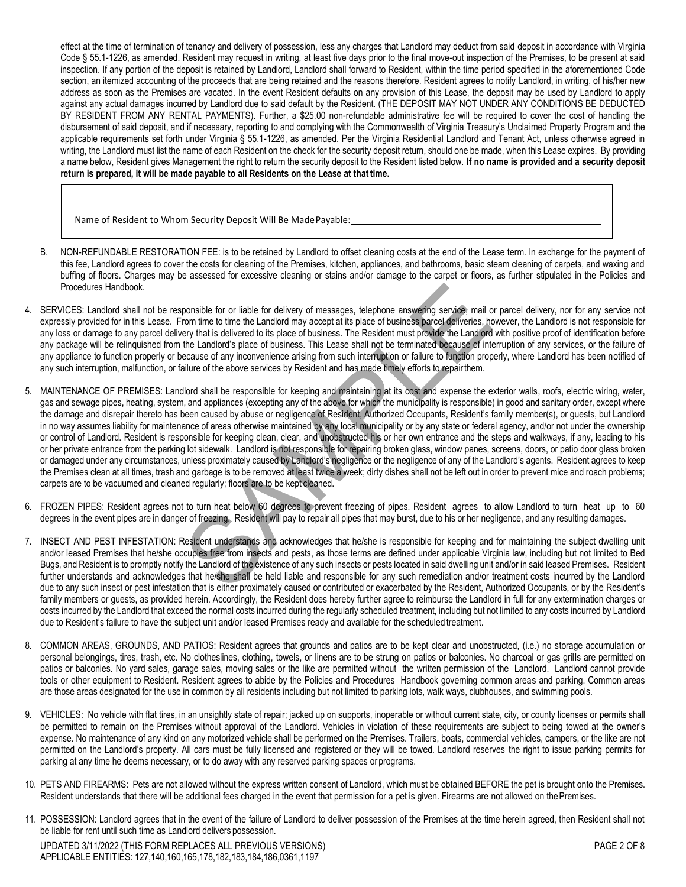effect at the time of termination of tenancy and delivery of possession, less any charges that Landlord may deduct from said deposit in accordance with Virginia Code § 55.1-1226, as amended. Resident may request in writing, at least five days prior to the final move-out inspection of the Premises, to be present at said inspection. If any portion of the deposit is retained by Landlord, Landlord shall forward to Resident, within the time period specified in the aforementioned Code section, an itemized accounting of the proceeds that are being retained and the reasons therefore. Resident agrees to notify Landlord, in writing, of his/her new address as soon as the Premises are vacated. In the event Resident defaults on any provision of this Lease, the deposit may be used by Landlord to apply against any actual damages incurred by Landlord due to said default by the Resident. (THE DEPOSIT MAY NOT UNDER ANY CONDITIONS BE DEDUCTED BY RESIDENT FROM ANY RENTAL PAYMENTS). Further, a \$25.00 non-refundable administrative fee will be required to cover the cost of handling the disbursement of said deposit, and if necessary, reporting to and complying with the Commonwealth of Virginia Treasury's Unclaimed Property Program and the applicable requirements set forth under Virginia § 55.1-1226, as amended. Per the Virginia Residential Landlord and Tenant Act, unless otherwise agreed in writing, the Landlord must list the name of each Resident on the check for the security deposit return, should one be made, when this Lease expires. By providing a name below, Resident gives Management the right to return the security deposit to the Resident listed below. **If no name is provided and a security deposit return is prepared, it will be made payable to all Residents on the Lease at that time.**

Name of Resident to Whom Security Deposit Will Be MadePayable:

- B. NON-REFUNDABLE RESTORATION FEE: is to be retained by Landlord to offset cleaning costs at the end of the Lease term. In exchange for the payment of this fee, Landlord agrees to cover the costs for cleaning of the Premises, kitchen, appliances, and bathrooms, basic steam cleaning of carpets, and waxing and buffing of floors. Charges may be assessed for excessive cleaning or stains and/or damage to the carpet or floors, as further stipulated in the Policies and Procedures Handbook.
- 4. SERVICES: Landlord shall not be responsible for or liable for delivery of messages, telephone answering service, mail or parcel delivery, nor for any service not expressly provided for in this Lease. From time to time the Landlord may accept at its place of business parcel deliveries, however, the Landlord is not responsible for any loss or damage to any parcel delivery that is delivered to its place of business. The Resident must provide the Landlord with positive proof of identification before any package will be relinquished from the Landlord's place of business. This Lease shall not be terminated because of interruption of any services, or the failure of any appliance to function properly or because of any inconvenience arising from such interruption or failure to function properly, where Landlord has been notified of any such interruption, malfunction, or failure of the above services by Resident and has made timely efforts to repairthem.
- 5. MAINTENANCE OF PREMISES: Landlord shall be responsible for keeping and maintaining at its cost and expense the exterior walls, roofs, electric wiring, water, gas and sewage pipes, heating, system, and appliances (excepting any of the above for which the municipality is responsible) in good and sanitary order, except where the damage and disrepair thereto has been caused by abuse or negligence of Resident, Authorized Occupants, Resident's family member(s), or guests, but Landlord in no way assumes liability for maintenance of areas otherwise maintained by any local municipality or by any state or federal agency, and/or not under the ownership or control of Landlord. Resident is responsible for keeping clean, clear, and unobstructed his or her own entrance and the steps and walkways, if any, leading to his or her private entrance from the parking lot sidewalk. Landlord is not responsible for repairing broken glass, window panes, screens, doors, or patio door glass broken or damaged under any circumstances, unless proximately caused by Landlord's negligence or the negligence of any of the Landlord's agents. Resident agrees to keep the Premises clean at all times, trash and garbage is to be removed at least twice a week; dirty dishes shall not be left out in order to prevent mice and roach problems; carpets are to be vacuumed and cleaned regularly; floors are to be kept cleaned.
- 6. FROZEN PIPES: Resident agrees not to turn heat below 60 degrees to prevent freezing of pipes. Resident agrees to allow Landlord to turn heat up to 60 degrees in the event pipes are in danger of freezing. Resident will pay to repair all pipes that may burst, due to his or her negligence, and any resulting damages.
- 7. INSECT AND PEST INFESTATION: Resident understands and acknowledges that he/she is responsible for keeping and for maintaining the subject dwelling unit and/or leased Premises that he/she occupies free from insects and pests, as those terms are defined under applicable Virginia law, including but not limited to Bed Bugs, and Resident is to promptly notify the Landlord of the existence of any such insects or pests located in said dwelling unit and/or in said leased Premises. Resident further understands and acknowledges that he/she shall be held liable and responsible for any such remediation and/or treatment costs incurred by the Landlord due to any such insect or pest infestation that is either proximately caused or contributed or exacerbated by the Resident, Authorized Occupants, or by the Resident's family members or guests, as provided herein. Accordingly, the Resident does hereby further agree to reimburse the Landlord in full for any extermination charges or costs incurred by the Landlord that exceed the normal costs incurred during the regularly scheduled treatment, including but not limited to any costs incurred by Landlord due to Resident's failure to have the subject unit and/or leased Premises ready and available for the scheduled treatment.
- 8. COMMON AREAS, GROUNDS, AND PATIOS: Resident agrees that grounds and patios are to be kept clear and unobstructed, (i.e.) no storage accumulation or personal belongings, tires, trash, etc. No clotheslines, clothing, towels, or linens are to be strung on patios or balconies. No charcoal or gas grills are permitted on patios or balconies. No yard sales, garage sales, moving sales or the like are permitted without the written permission of the Landlord. Landlord cannot provide tools or other equipment to Resident. Resident agrees to abide by the Policies and Procedures Handbook governing common areas and parking. Common areas are those areas designated for the use in common by all residents including but not limited to parking lots, walk ways, clubhouses, and swimming pools.
- 9. VEHICLES: No vehicle with flat tires, in an unsightly state of repair; jacked up on supports, inoperable or without current state, city, or county licenses or permits shall be permitted to remain on the Premises without approval of the Landlord. Vehicles in violation of these requirements are subject to being towed at the owner's expense. No maintenance of any kind on any motorized vehicle shall be performed on the Premises. Trailers, boats, commercial vehicles, campers, or the like are not permitted on the Landlord's property. All cars must be fully licensed and registered or they will be towed. Landlord reserves the right to issue parking permits for parking at any time he deems necessary, or to do away with any reserved parking spaces or programs.
- 10. PETS AND FIREARMS: Pets are not allowed without the express written consent of Landlord, which must be obtained BEFORE the pet is brought onto the Premises. Resident understands that there will be additional fees charged in the event that permission for a pet is given. Firearms are not allowed on the Premises.
- 11. POSSESSION: Landlord agrees that in the event of the failure of Landlord to deliver possession of the Premises at the time herein agreed, then Resident shall not be liable for rent until such time as Landlord delivers possession.

UPDATED 3/11/2022 (THIS FORM REPLACES ALL PREVIOUS VERSIONS) APPLICABLE ENTITIES: 127,140,160,165,178,182,183,184,186,0361,1197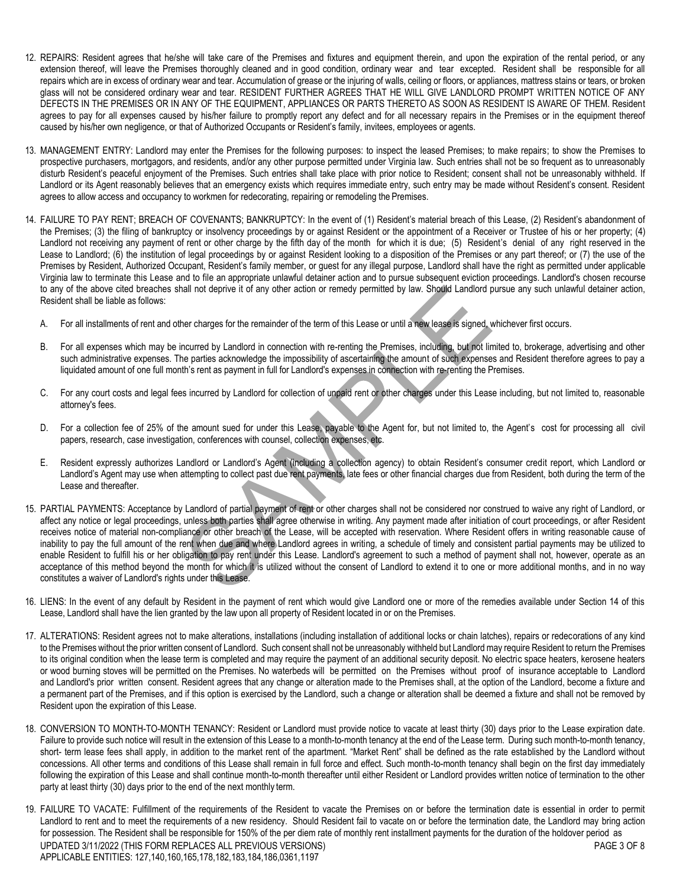- 12. REPAIRS: Resident agrees that he/she will take care of the Premises and fixtures and equipment therein, and upon the expiration of the rental period, or any extension thereof, will leave the Premises thoroughly cleaned and in good condition, ordinary wear and tear excepted. Resident shall be responsible for all repairs which are in excess of ordinary wear and tear. Accumulation of grease or the injuring of walls, ceiling or floors, or appliances, mattress stains or tears, or broken glass will not be considered ordinary wear and tear. RESIDENT FURTHER AGREES THAT HE WILL GIVE LANDLORD PROMPT WRITTEN NOTICE OF ANY DEFECTS IN THE PREMISES OR IN ANY OF THE EQUIPMENT, APPLIANCES OR PARTS THERETO AS SOON AS RESIDENT IS AWARE OF THEM. Resident agrees to pay for all expenses caused by his/her failure to promptly report any defect and for all necessary repairs in the Premises or in the equipment thereof caused by his/her own negligence, or that of Authorized Occupants or Resident's family, invitees, employees or agents.
- 13. MANAGEMENT ENTRY: Landlord may enter the Premises for the following purposes: to inspect the leased Premises; to make repairs; to show the Premises to prospective purchasers, mortgagors, and residents, and/or any other purpose permitted under Virginia law. Such entries shall not be so frequent as to unreasonably disturb Resident's peaceful enjoyment of the Premises. Such entries shall take place with prior notice to Resident; consent shall not be unreasonably withheld. If Landlord or its Agent reasonably believes that an emergency exists which requires immediate entry, such entry may be made without Resident's consent. Resident agrees to allow access and occupancy to workmen for redecorating, repairing or remodeling the Premises.
- 14. FAILURE TO PAY RENT; BREACH OF COVENANTS; BANKRUPTCY: In the event of (1) Resident's material breach of this Lease, (2) Resident's abandonment of the Premises; (3) the filing of bankruptcy or insolvency proceedings by or against Resident or the appointment of a Receiver or Trustee of his or her property; (4) Landlord not receiving any payment of rent or other charge by the fifth day of the month for which it is due; (5) Resident's denial of any right reserved in the Lease to Landlord; (6) the institution of legal proceedings by or against Resident looking to a disposition of the Premises or any part thereof; or (7) the use of the Premises by Resident, Authorized Occupant, Resident's family member, or guest for any illegal purpose, Landlord shall have the right as permitted under applicable Virginia law to terminate this Lease and to file an appropriate unlawful detainer action and to pursue subsequent eviction proceedings. Landlord's chosen recourse to any of the above cited breaches shall not deprive it of any other action or remedy permitted by law. Should Landlord pursue any such unlawful detainer action, Resident shall be liable as follows:
	- A. For all installments of rent and other charges for the remainder of the term of this Lease or until a new lease is signed, whichever first occurs.
	- B. For all expenses which may be incurred by Landlord in connection with re-renting the Premises, including, but not limited to, brokerage, advertising and other such administrative expenses. The parties acknowledge the impossibility of ascertaining the amount of such expenses and Resident therefore agrees to pay a liquidated amount of one full month's rent as payment in full for Landlord's expenses in connection with re-renting the Premises.
	- C. For any court costs and legal fees incurred by Landlord for collection of unpaid rent or other charges under this Lease including, but not limited to, reasonable attorney's fees.
	- D. For a collection fee of 25% of the amount sued for under this Lease, payable to the Agent for, but not limited to, the Agent's cost for processing all civil papers, research, case investigation, conferences with counsel, collection expenses, etc.
	- E. Resident expressly authorizes Landlord or Landlord's Agent (including a collection agency) to obtain Resident's consumer credit report, which Landlord or Landlord's Agent may use when attempting to collect past due rent payments, late fees or other financial charges due from Resident, both during the term of the Lease and thereafter.
- 15. PARTIAL PAYMENTS: Acceptance by Landlord of partial payment of rent or other charges shall not be considered nor construed to waive any right of Landlord, or affect any notice or legal proceedings, unless both parties shall agree otherwise in writing. Any payment made after initiation of court proceedings, or after Resident receives notice of material non-compliance or other breach of the Lease, will be accepted with reservation. Where Resident offers in writing reasonable cause of inability to pay the full amount of the rent when due and where Landlord agrees in writing, a schedule of timely and consistent partial payments may be utilized to enable Resident to fulfill his or her obligation to pay rent under this Lease. Landlord's agreement to such a method of payment shall not, however, operate as an acceptance of this method beyond the month for which it is utilized without the consent of Landlord to extend it to one or more additional months, and in no way constitutes a waiver of Landlord's rights under this Lease.
- 16. LIENS: In the event of any default by Resident in the payment of rent which would give Landlord one or more of the remedies available under Section 14 of this Lease, Landlord shall have the lien granted by the law upon all property of Resident located in or on the Premises.
- 17. ALTERATIONS: Resident agrees not to make alterations, installations (including installation of additional locks or chain latches), repairs or redecorations of any kind to the Premises without the prior written consent of Landlord. Such consent shall not be unreasonably withheld but Landlord may require Resident to return the Premises to its original condition when the lease term is completed and may require the payment of an additional security deposit. No electric space heaters, kerosene heaters or wood burning stoves will be permitted on the Premises. No waterbeds will be permitted on the Premises without proof of insurance acceptable to Landlord and Landlord's prior written consent. Resident agrees that any change or alteration made to the Premises shall, at the option of the Landlord, become a fixture and a permanent part of the Premises, and if this option is exercised by the Landlord, such a change or alteration shall be deemed a fixture and shall not be removed by Resident upon the expiration of this Lease.
- 18. CONVERSION TO MONTH-TO-MONTH TENANCY: Resident or Landlord must provide notice to vacate at least thirty (30) days prior to the Lease expiration date. Failure to provide such notice will result in the extension of this Lease to a month-to-month tenancy at the end of the Lease term. During such month-to-month tenancy, short- term lease fees shall apply, in addition to the market rent of the apartment. "Market Rent" shall be defined as the rate established by the Landlord without concessions. All other terms and conditions of this Lease shall remain in full force and effect. Such month-to-month tenancy shall begin on the first day immediately following the expiration of this Lease and shall continue month-to-month thereafter until either Resident or Landlord provides written notice of termination to the other party at least thirty (30) days prior to the end of the next monthly term.
- UPDATED 3/11/2022 (THIS FORM REPLACES ALL PREVIOUS VERSIONS) APPLICABLE ENTITIES: 127,140,160,165,178,182,183,184,186,0361,1197 PAGE 3 OF 8 19. FAILURE TO VACATE: Fulfillment of the requirements of the Resident to vacate the Premises on or before the termination date is essential in order to permit Landlord to rent and to meet the requirements of a new residency. Should Resident fail to vacate on or before the termination date, the Landlord may bring action for possession. The Resident shall be responsible for 150% of the per diem rate of monthly rent installment payments for the duration of the holdover period as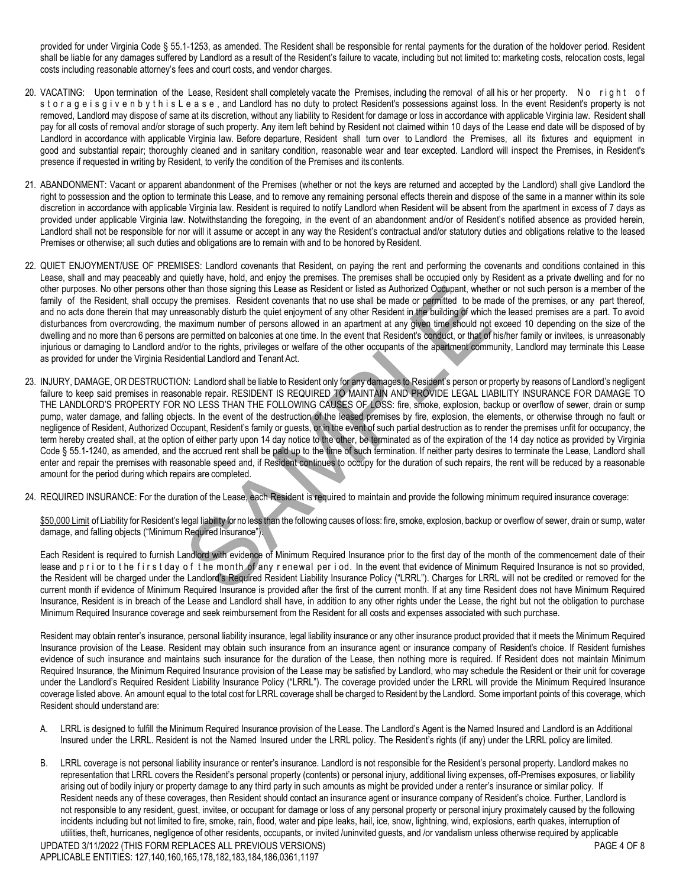provided for under Virginia Code § 55.1-1253, as amended. The Resident shall be responsible for rental payments for the duration of the holdover period. Resident shall be liable for any damages suffered by Landlord as a result of the Resident's failure to vacate, including but not limited to: marketing costs, relocation costs, legal costs including reasonable attorney's fees and court costs, and vendor charges.

- 20. VACATING: Upon termination of the Lease, Resident shall completely vacate the Premises, including the removal of all his or her property. No right of s t o r a g e i s g i v e n b y t h i s L e a s e, and Landlord has no duty to protect Resident's possessions against loss. In the event Resident's property is not removed, Landlord may dispose of same at its discretion, without any liability to Resident for damage or loss in accordance with applicable Virginia law. Resident shall pay for all costs of removal and/or storage of such property. Any item left behind by Resident not claimed within 10 days of the Lease end date will be disposed of by Landlord in accordance with applicable Virginia law. Before departure, Resident shall turn over to Landlord the Premises, all its fixtures and equipment in good and substantial repair; thoroughly cleaned and in sanitary condition, reasonable wear and tear excepted. Landlord will inspect the Premises, in Resident's presence if requested in writing by Resident, to verify the condition of the Premises and its contents.
- 21. ABANDONMENT: Vacant or apparent abandonment of the Premises (whether or not the keys are returned and accepted by the Landlord) shall give Landlord the right to possession and the option to terminate this Lease, and to remove any remaining personal effects therein and dispose of the same in a manner within its sole discretion in accordance with applicable Virginia law. Resident is required to notify Landlord when Resident will be absent from the apartment in excess of 7 days as provided under applicable Virginia law. Notwithstanding the foregoing, in the event of an abandonment and/or of Resident's notified absence as provided herein, Landlord shall not be responsible for nor will it assume or accept in any way the Resident's contractual and/or statutory duties and obligations relative to the leased Premises or otherwise; all such duties and obligations are to remain with and to be honored by Resident.
- 22. QUIET ENJOYMENT/USE OF PREMISES: Landlord covenants that Resident, on paying the rent and performing the covenants and conditions contained in this Lease, shall and may peaceably and quietly have, hold, and enjoy the premises. The premises shall be occupied only by Resident as a private dwelling and for no other purposes. No other persons other than those signing this Lease as Resident or listed as Authorized Occupant, whether or not such person is a member of the family of the Resident, shall occupy the premises. Resident covenants that no use shall be made or permitted to be made of the premises, or any part thereof, and no acts done therein that may unreasonably disturb the quiet enjoyment of any other Resident in the building of which the leased premises are a part. To avoid disturbances from overcrowding, the maximum number of persons allowed in an apartment at any given time should not exceed 10 depending on the size of the dwelling and no more than 6 persons are permitted on balconies at one time. In the event that Resident's conduct, or that of his/her family or invitees, is unreasonably injurious or damaging to Landlord and/or to the rights, privileges or welfare of the other occupants of the apartment community, Landlord may terminate this Lease as provided for under the Virginia Residential Landlord and Tenant Act.
- 23. INJURY, DAMAGE, OR DESTRUCTION: Landlord shall be liable to Resident only for any damages to Resident's person or property by reasons of Landlord's negligent failure to keep said premises in reasonable repair. RESIDENT IS REQUIRED TO MAINTAIN AND PROVIDE LEGAL LIABILITY INSURANCE FOR DAMAGE TO THE LANDLORD'S PROPERTY FOR NO LESS THAN THE FOLLOWING CAUSES OF LOSS: fire, smoke, explosion, backup or overflow of sewer, drain or sump pump, water damage, and falling objects. In the event of the destruction of the leased premises by fire, explosion, the elements, or otherwise through no fault or negligence of Resident, Authorized Occupant, Resident's family or guests, or in the event of such partial destruction as to render the premises unfit for occupancy, the term hereby created shall, at the option of either party upon 14 day notice to the other, be terminated as of the expiration of the 14 day notice as provided by Virginia Code § 55.1-1240, as amended, and the accrued rent shall be paid up to the time of such termination. If neither party desires to terminate the Lease, Landlord shall enter and repair the premises with reasonable speed and, if Resident continues to occupy for the duration of such repairs, the rent will be reduced by a reasonable amount for the period during which repairs are completed.
- 24. REQUIRED INSURANCE: For the duration of the Lease, each Resident is required to maintain and provide the following minimum required insurance coverage:

\$50,000 Limit of Liability for Resident's legal liability forno less than the following causes of loss: fire, smoke, explosion, backup or overflow of sewer, drain or sump, water damage, and falling objects ("Minimum Required Insurance").

Each Resident is required to furnish Landlord with evidence of Minimum Required Insurance prior to the first day of the month of the commencement date of their lease and prior to the firstday of the month of any renewal period. In the event that evidence of Minimum Required Insurance is not so provided, the Resident will be charged under the Landlord's Required Resident Liability Insurance Policy ("LRRL"). Charges for LRRL will not be credited or removed for the current month if evidence of Minimum Required Insurance is provided after the first of the current month. If at any time Resident does not have Minimum Required Insurance, Resident is in breach of the Lease and Landlord shall have, in addition to any other rights under the Lease, the right but not the obligation to purchase Minimum Required Insurance coverage and seek reimbursement from the Resident for all costs and expenses associated with such purchase.

Resident may obtain renter's insurance, personal liability insurance, legal liability insurance or any other insurance product provided that it meets the Minimum Required Insurance provision of the Lease. Resident may obtain such insurance from an insurance agent or insurance company of Resident's choice. If Resident furnishes evidence of such insurance and maintains such insurance for the duration of the Lease, then nothing more is required. If Resident does not maintain Minimum Required Insurance, the Minimum Required Insurance provision of the Lease may be satisfied by Landlord, who may schedule the Resident or their unit for coverage under the Landlord's Required Resident Liability Insurance Policy ("LRRL"). The coverage provided under the LRRL will provide the Minimum Required Insurance coverage listed above. An amount equal to the total cost for LRRL coverage shall be charged to Resident by the Landlord. Some important points of this coverage, which Resident should understand are:

- A. LRRL is designed to fulfill the Minimum Required Insurance provision of the Lease. The Landlord's Agent is the Named Insured and Landlord is an Additional Insured under the LRRL. Resident is not the Named Insured under the LRRL policy. The Resident's rights (if any) under the LRRL policy are limited.
- UPDATED 3/11/2022 (THIS FORM REPLACES ALL PREVIOUS VERSIONS) PAGE 4 OF 8 B. LRRL coverage is not personal liability insurance or renter's insurance. Landlord is not responsible for the Resident's personal property. Landlord makes no representation that LRRL covers the Resident's personal property (contents) or personal injury, additional living expenses, off-Premises exposures, or liability arising out of bodily injury or property damage to any third party in such amounts as might be provided under a renter's insurance or similar policy. If Resident needs any of these coverages, then Resident should contact an insurance agent or insurance company of Resident's choice. Further, Landlord is not responsible to any resident, guest, invitee, or occupant for damage or loss of any personal property or personal injury proximately caused by the following incidents including but not limited to fire, smoke, rain, flood, water and pipe leaks, hail, ice, snow, lightning, wind, explosions, earth quakes, interruption of utilities, theft, hurricanes, negligence of other residents, occupants, or invited /uninvited guests, and /or vandalism unless otherwise required by applicable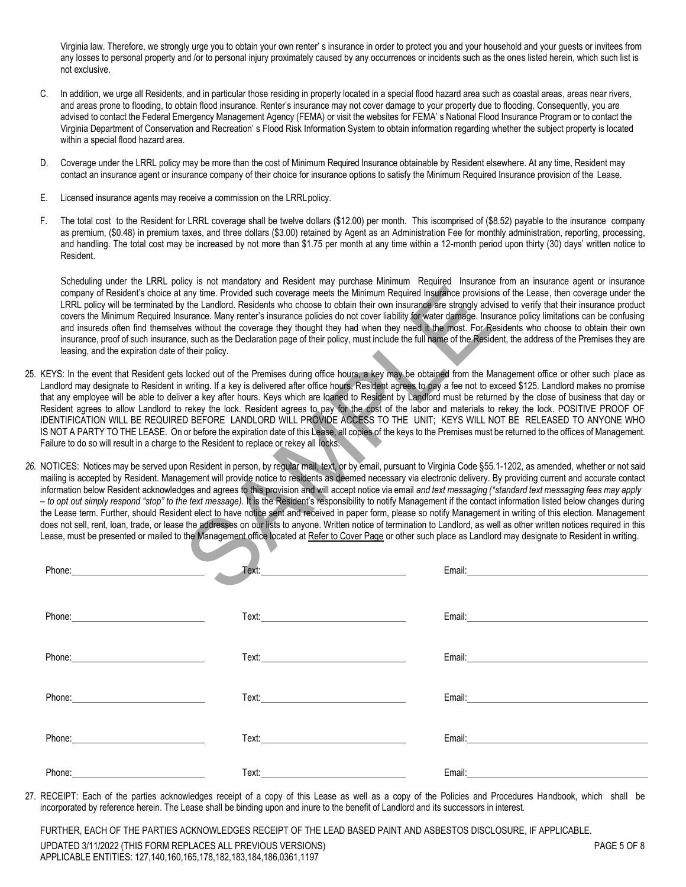Virginia law. Therefore, we strongly urge you to obtain your own renter' s insurance in order to protect you and your household and your guests or invitees from any losses to personal property and /or to personal injury proximately caused by any occurrences or incidents such as the ones listed herein, which such list is not exclusive.

- C. In addition, we urge all Residents, and in particular those residing in property located in a special flood hazard area such as coastal areas, areas near rivers, and areas prone to flooding, to obtain flood insurance. Renter's insurance may not cover damage to your property due to flooding. Consequently, you are advised to contact the Federal Emergency Management Agency (FEMA) or visit the websites for FEMA' s National Flood Insurance Program or to contact the Virginia Department of Conservation and Recreation' s Flood Risk Information System to obtain information regarding whether the subject property is located within a special flood hazard area.
- D. Coverage under the LRRL policy may be more than the cost of Minimum Required Insurance obtainable by Resident elsewhere. At any time, Resident may contact an insurance agent or insurance company of their choice for insurance options to satisfy the Minimum Required Insurance provision of the Lease.
- E. Licensed insurance agents may receive a commission on the LRRLpolicy.
- F. The total cost to the Resident for LRRL coverage shall be twelve dollars (\$12.00) per month. This iscomprised of (\$8.52) payable to the insurance company as premium, (\$0.48) in premium taxes, and three dollars (\$3.00) retained by Agent as an Administration Fee for monthly administration, reporting, processing, and handling. The total cost may be increased by not more than \$1.75 per month at any time within a 12-month period upon thirty (30) days' written notice to Resident.

Scheduling under the LRRL policy is not mandatory and Resident may purchase Minimum Required Insurance from an insurance agent or insurance company of Resident's choice at any time. Provided such coverage meets the Minimum Required Insurance provisions of the Lease, then coverage under the LRRL policy will be terminated by the Landlord. Residents who choose to obtain their own insurance are strongly advised to verify that their insurance product covers the Minimum Required Insurance. Many renter's insurance policies do not cover liability for water damage. Insurance policy limitations can be confusing and insureds often find themselves without the coverage they thought they had when they need it the most. For Residents who choose to obtain their own insurance, proof of such insurance, such as the Declaration page of their policy, must include the full name of the Resident, the address of the Premises they are leasing, and the expiration date of their policy.

- 25. KEYS: In the event that Resident gets locked out of the Premises during office hours, a key may be obtained from the Management office or other such place as Landlord may designate to Resident in writing. If a key is delivered after office hours, Resident agrees to pay a fee not to exceed \$125. Landlord makes no promise that any employee will be able to deliver a key after hours. Keys which are loaned to Resident by Landlord must be returned by the close of business that day or Resident agrees to allow Landlord to rekey the lock. Resident agrees to pay for the cost of the labor and materials to rekey the lock. POSITIVE PROOF OF IDENTIFICATION WILL BE REQUIRED BEFORE LANDLORD WILL PROVIDE ACCESS TO THE UNIT; KEYS WILL NOT BE RELEASED TO ANYONE WHO IS NOT A PARTY TO THE LEASE. On or before the expiration date of this Lease, all copies of the keys to the Premises must be returned to the offices of Management. Failure to do so will result in a charge to the Resident to replace or rekey all locks.
- *26.* NOTICES: Notices may be served upon Resident in person, by regular mail, text, or by email, pursuant to Virginia Code §55.1-1202, as amended, whether or not said mailing is accepted by Resident. Management will provide notice to residents as deemed necessary via electronic delivery. By providing current and accurate contact information below Resident acknowledges and agrees to this provision and will accept notice via email *and text messaging (\*standard text messaging fees may apply – to opt out simply respond "stop" to the text message).* It is the Resident's responsibility to notify Management if the contact information listed below changes during the Lease term. Further, should Resident elect to have notice sent and received in paper form, please so notify Management in writing of this election. Management does not sell, rent, loan, trade, or lease the addresses on our lists to anyone. Written notice of termination to Landlord, as well as other written notices required in this Lease, must be presented or mailed to the Management office located at Refer to Cover Page or other such place as Landlord may designate to Resident in writing.

| Phone: Phone: |  |
|---------------|--|
|               |  |
| Phone: Phone: |  |
|               |  |

27. RECEIPT: Each of the parties acknowledges receipt of a copy of this Lease as well as a copy of the Policies and Procedures Handbook, which shall be incorporated by reference herein. The Lease shall be binding upon and inure to the benefit of Landlord and its successors in interest.

UPDATED 3/11/2022 (THIS FORM REPLACES ALL PREVIOUS VERSIONS) APPLICABLE ENTITIES: 127,140,160,165,178,182,183,184,186,0361,1197 FURTHER, EACH OF THE PARTIES ACKNOWLEDGES RECEIPT OF THE LEAD BASED PAINT AND ASBESTOS DISCLOSURE, IF APPLICABLE.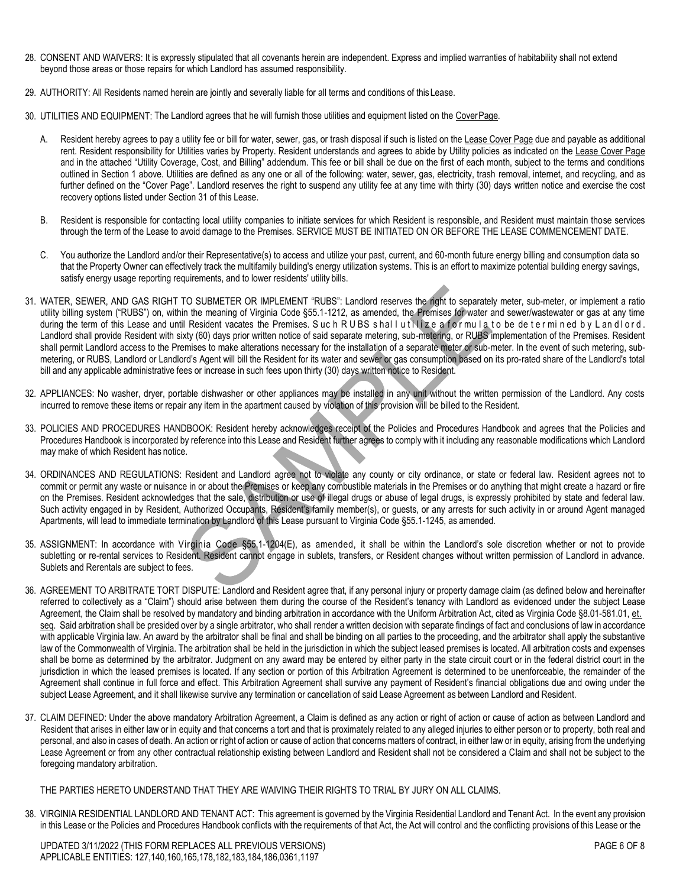- 28. CONSENT AND WAIVERS: It is expressly stipulated that all covenants herein are independent. Express and implied warranties of habitability shall not extend beyond those areas or those repairs for which Landlord has assumed responsibility.
- 29. AUTHORITY: All Residents named herein are jointly and severally liable for all terms and conditions of this Lease.
- 30. UTILITIES AND EQUIPMENT: The Landlord agrees that he will furnish those utilities and equipment listed on the CoverPage.
	- A. Resident hereby agrees to pay a utility fee or bill for water, sewer, gas, or trash disposal if such is listed on the Lease Cover Page due and payable as additional rent. Resident responsibility for Utilities varies by Property. Resident understands and agrees to abide by Utility policies as indicated on the Lease Cover Page and in the attached "Utility Coverage, Cost, and Billing" addendum. This fee or bill shall be due on the first of each month, subject to the terms and conditions outlined in Section 1 above. Utilities are defined as any one or all of the following: water, sewer, gas, electricity, trash removal, internet, and recycling, and as further defined on the "Cover Page". Landlord reserves the right to suspend any utility fee at any time with thirty (30) days written notice and exercise the cost recovery options listed under Section 31 of this Lease.
	- B. Resident is responsible for contacting local utility companies to initiate services for which Resident is responsible, and Resident must maintain those services through the term of the Lease to avoid damage to the Premises. SERVICE MUST BE INITIATED ON OR BEFORE THE LEASE COMMENCEMENT DATE.
	- C. You authorize the Landlord and/or their Representative(s) to access and utilize your past, current, and 60-month future energy billing and consumption data so that the Property Owner can effectively track the multifamily building's energy utilization systems. This is an effort to maximize potential building energy savings, satisfy energy usage reporting requirements, and to lower residents' utility bills.
- 31. WATER, SEWER, AND GAS RIGHT TO SUBMETER OR IMPLEMENT "RUBS": Landlord reserves the right to separately meter, sub-meter, or implement a ratio utility billing system ("RUBS") on, within the meaning of Virginia Code §55.1-1212, as amended, the Premises for water and sewer/wastewater or gas at any time during the term of this Lease and until Resident vacates the Premises. Such RUBS shall utilize a for mula to be determined by Landlord. Landlord shall provide Resident with sixty (60) days prior written notice of said separate metering, sub-metering, or RUBS implementation of the Premises. Resident shall permit Landlord access to the Premises to make alterations necessary for the installation of a separate meter or sub-meter. In the event of such metering, submetering, or RUBS, Landlord or Landlord's Agent will bill the Resident for its water and sewer or gas consumption based on its pro-rated share of the Landlord's total bill and any applicable administrative fees or increase in such fees upon thirty (30) days written notice to Resident.
- 32. APPLIANCES: No washer, dryer, portable dishwasher or other appliances may be installed in any unit without the written permission of the Landlord. Any costs incurred to remove these items or repair any item in the apartment caused by violation of this provision will be billed to the Resident.
- 33. POLICIES AND PROCEDURES HANDBOOK: Resident hereby acknowledges receipt of the Policies and Procedures Handbook and agrees that the Policies and Procedures Handbook is incorporated by reference into this Lease and Resident further agrees to comply with it including any reasonable modifications which Landlord may make of which Resident has notice.
- 34. ORDINANCES AND REGULATIONS: Resident and Landlord agree not to violate any county or city ordinance, or state or federal law. Resident agrees not to commit or permit any waste or nuisance in or about the Premises or keep any combustible materials in the Premises or do anything that might create a hazard or fire on the Premises. Resident acknowledges that the sale, distribution or use of illegal drugs or abuse of legal drugs, is expressly prohibited by state and federal law. Such activity engaged in by Resident, Authorized Occupants, Resident's family member(s), or guests, or any arrests for such activity in or around Agent managed Apartments, will lead to immediate termination by Landlord of this Lease pursuant to Virginia Code §55.1-1245, as amended.
- 35. ASSIGNMENT: In accordance with Virginia Code §55.1-1204(E), as amended, it shall be within the Landlord's sole discretion whether or not to provide subletting or re-rental services to Resident. Resident cannot engage in sublets, transfers, or Resident changes without written permission of Landlord in advance. Sublets and Rerentals are subject to fees.
- 36. AGREEMENT TO ARBITRATE TORT DISPUTE: Landlord and Resident agree that, if any personal injury or property damage claim (as defined below and hereinafter referred to collectively as a "Claim") should arise between them during the course of the Resident's tenancy with Landlord as evidenced under the subject Lease Agreement, the Claim shall be resolved by mandatory and binding arbitration in accordance with the Uniform Arbitration Act, cited as Virginia Code §8.01-581.01, et. seq. Said arbitration shall be presided over by a single arbitrator, who shall render a written decision with separate findings of fact and conclusions of law in accordance with applicable Virginia law. An award by the arbitrator shall be final and shall be binding on all parties to the proceeding, and the arbitrator shall apply the substantive law of the Commonwealth of Virginia. The arbitration shall be held in the jurisdiction in which the subject leased premises is located. All arbitration costs and expenses shall be borne as determined by the arbitrator. Judgment on any award may be entered by either party in the state circuit court or in the federal district court in the jurisdiction in which the leased premises is located. If any section or portion of this Arbitration Agreement is determined to be unenforceable, the remainder of the Agreement shall continue in full force and effect. This Arbitration Agreement shall survive any payment of Resident's financial obligations due and owing under the subject Lease Agreement, and it shall likewise survive any termination or cancellation of said Lease Agreement as between Landlord and Resident.
- 37. CLAIM DEFINED: Under the above mandatory Arbitration Agreement, a Claim is defined as any action or right of action or cause of action as between Landlord and Resident that arises in either law or in equity and that concerns a tort and that is proximately related to any alleged injuries to either person or to property, both real and personal, and also in cases of death. An action or right of action or cause of action that concerns matters of contract, in either law or in equity, arising from the underlying Lease Agreement or from any other contractual relationship existing between Landlord and Resident shall not be considered a Claim and shall not be subject to the foregoing mandatory arbitration.

THE PARTIES HERETO UNDERSTAND THAT THEY ARE WAIVING THEIR RIGHTS TO TRIAL BY JURY ON ALL CLAIMS.

38. VIRGINIA RESIDENTIAL LANDLORD AND TENANT ACT: This agreement is governed by the Virginia Residential Landlord and Tenant Act. In the event any provision in this Lease or the Policies and Procedures Handbook conflicts with the requirements of that Act, the Act will control and the conflicting provisions of this Lease or the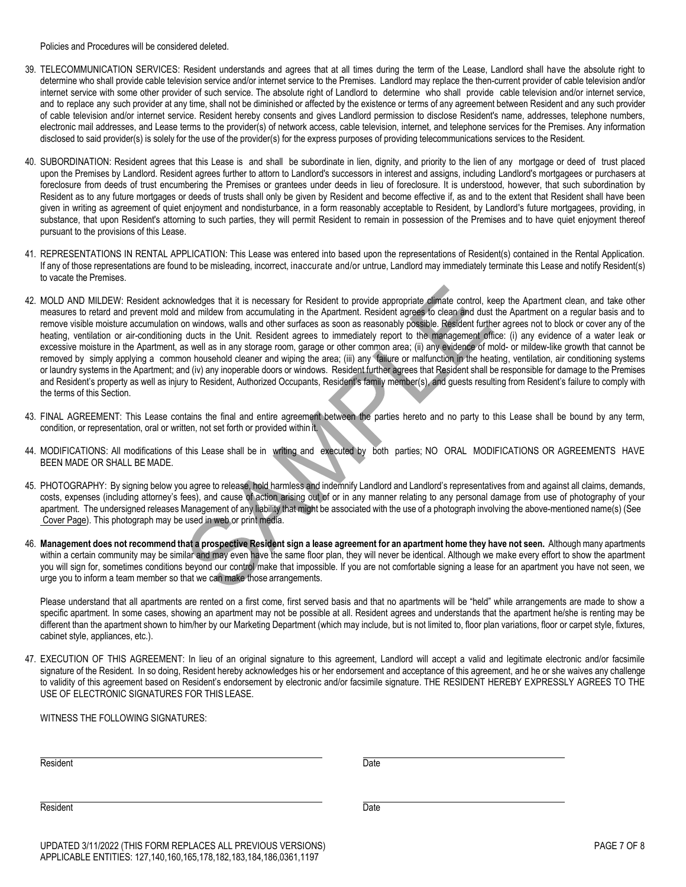Policies and Procedures will be considered deleted.

- 39. TELECOMMUNICATION SERVICES: Resident understands and agrees that at all times during the term of the Lease, Landlord shall have the absolute right to determine who shall provide cable television service and/or internet service to the Premises. Landlord may replace the then-current provider of cable television and/or internet service with some other provider of such service. The absolute right of Landlord to determine who shall provide cable television and/or internet service, and to replace any such provider at any time, shall not be diminished or affected by the existence or terms of any agreement between Resident and any such provider of cable television and/or internet service. Resident hereby consents and gives Landlord permission to disclose Resident's name, addresses, telephone numbers, electronic mail addresses, and Lease terms to the provider(s) of network access, cable television, internet, and telephone services for the Premises. Any information disclosed to said provider(s) is solely for the use of the provider(s) for the express purposes of providing telecommunications services to the Resident.
- 40. SUBORDINATION: Resident agrees that this Lease is and shall be subordinate in lien, dignity, and priority to the lien of any mortgage or deed of trust placed upon the Premises by Landlord. Resident agrees further to attorn to Landlord's successors in interest and assigns, including Landlord's mortgagees or purchasers at foreclosure from deeds of trust encumbering the Premises or grantees under deeds in lieu of foreclosure. It is understood, however, that such subordination by Resident as to any future mortgages or deeds of trusts shall only be given by Resident and become effective if, as and to the extent that Resident shall have been given in writing as agreement of quiet enjoyment and nondisturbance, in a form reasonably acceptable to Resident, by Landlord's future mortgagees, providing, in substance, that upon Resident's attorning to such parties, they will permit Resident to remain in possession of the Premises and to have quiet enjoyment thereof pursuant to the provisions of this Lease.
- 41. REPRESENTATIONS IN RENTAL APPLICATION: This Lease was entered into based upon the representations of Resident(s) contained in the Rental Application. If any of those representations are found to be misleading, incorrect, inaccurate and/or untrue, Landlord may immediately terminate this Lease and notify Resident(s) to vacate the Premises.
- 42. MOLD AND MILDEW: Resident acknowledges that it is necessary for Resident to provide appropriate climate control, keep the Apartment clean, and take other measures to retard and prevent mold and mildew from accumulating in the Apartment. Resident agrees to clean and dust the Apartment on a regular basis and to remove visible moisture accumulation on windows, walls and other surfaces as soon as reasonably possible. Resident further agrees not to block or cover any of the heating, ventilation or air-conditioning ducts in the Unit. Resident agrees to immediately report to the management office: (i) any evidence of a water leak or excessive moisture in the Apartment, as well as in any storage room, garage or other common area; (ii) any evidence of mold- or mildew-like growth that cannot be removed by simply applying a common household cleaner and wiping the area; (iii) any failure or malfunction in the heating, ventilation, air conditioning systems or laundry systems in the Apartment; and (iv) any inoperable doors or windows. Resident further agrees that Resident shall be responsible for damage to the Premises and Resident's property as well as injury to Resident, Authorized Occupants, Resident's family member(s), and guests resulting from Resident's failure to comply with the terms of this Section.
- 43. FINAL AGREEMENT: This Lease contains the final and entire agreement between the parties hereto and no party to this Lease shall be bound by any term, condition, or representation, oral or written, not set forth or provided within it.
- 44. MODIFICATIONS: All modifications of this Lease shall be in writing and executed by both parties; NO ORAL MODIFICATIONS OR AGREEMENTS HAVE BEEN MADE OR SHALL BE MADE.
- 45. PHOTOGRAPHY: By signing below you agree to release, hold harmless and indemnify Landlord and Landlord's representatives from and against all claims, demands, costs, expenses (including attorney's fees), and cause of action arising out of or in any manner relating to any personal damage from use of photography of your apartment. The undersigned releases Management of any liability that might be associated with the use of a photograph involving the above-mentioned name(s) (See Cover Page). This photograph may be used in web or print media.
- 46. Management does not recommend that a prospective Resident sign a lease agreement for an apartment home they have not seen. Although many apartments within a certain community may be similar and may even have the same floor plan, they will never be identical. Although we make every effort to show the apartment you will sign for, sometimes conditions beyond our control make that impossible. If you are not comfortable signing a lease for an apartment you have not seen, we urge you to inform a team member so that we can make those arrangements.

Please understand that all apartments are rented on a first come, first served basis and that no apartments will be "held" while arrangements are made to show a specific apartment. In some cases, showing an apartment may not be possible at all. Resident agrees and understands that the apartment he/she is renting may be different than the apartment shown to him/her by our Marketing Department (which may include, but is not limited to, floor plan variations, floor or carpet style, fixtures, cabinet style, appliances, etc.).

47. EXECUTION OF THIS AGREEMENT: In lieu of an original signature to this agreement, Landlord will accept a valid and legitimate electronic and/or facsimile signature of the Resident. In so doing, Resident hereby acknowledges his or her endorsement and acceptance of this agreement, and he or she waives any challenge to validity of this agreement based on Resident's endorsement by electronic and/or facsimile signature. THE RESIDENT HEREBY EXPRESSLY AGREES TO THE USE OF ELECTRONIC SIGNATURES FOR THIS LEASE.

WITNESS THE FOLLOWING SIGNATURES:

Resident Date

Resident Date